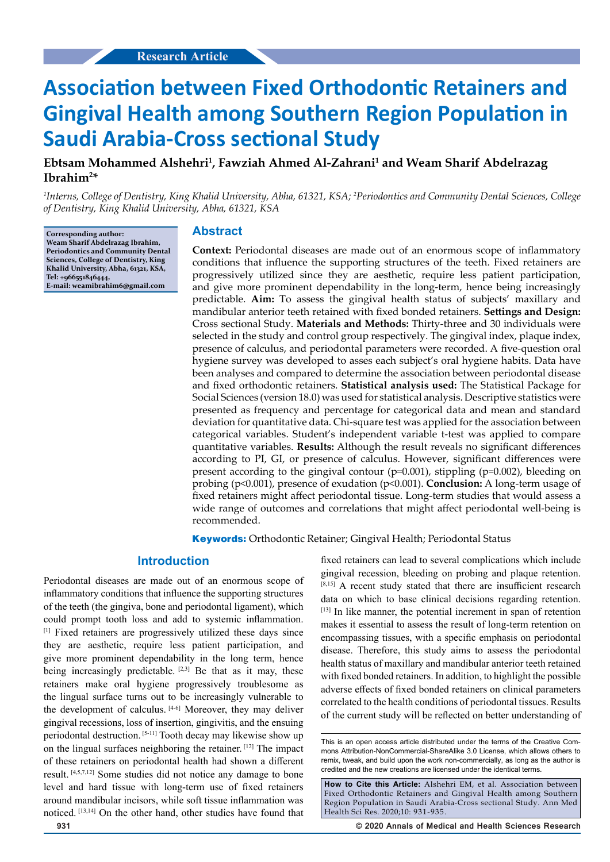# **Association between Fixed Orthodontic Retainers and Gingival Health among Southern Region Population in Saudi Arabia-Cross sectional Study**

## **Ebtsam Mohammed Alshehri1 , Fawziah Ahmed Al-Zahrani1 and Weam Sharif Abdelrazag Ibrahim2 \***

*1 Interns, College of Dentistry, King Khalid University, Abha, 61321, KSA; 2 Periodontics and Community Dental Sciences, College of Dentistry, King Khalid University, Abha, 61321, KSA*

**Corresponding author: Weam Sharif Abdelrazag Ibrahim, Periodontics and Community Dental Sciences, College of Dentistry, King Khalid University, Abha, 61321, KSA, Tel: +966551846444, E-mail: weamibrahim6@gmail.com**

#### **Abstract**

**Context:** Periodontal diseases are made out of an enormous scope of inflammatory conditions that influence the supporting structures of the teeth. Fixed retainers are progressively utilized since they are aesthetic, require less patient participation, and give more prominent dependability in the long-term, hence being increasingly predictable. **Aim:** To assess the gingival health status of subjects' maxillary and mandibular anterior teeth retained with fixed bonded retainers. **Settings and Design:** Cross sectional Study. **Materials and Methods:** Thirty-three and 30 individuals were selected in the study and control group respectively. The gingival index, plaque index, presence of calculus, and periodontal parameters were recorded. A five-question oral hygiene survey was developed to asses each subject's oral hygiene habits. Data have been analyses and compared to determine the association between periodontal disease and fixed orthodontic retainers. **Statistical analysis used:** The Statistical Package for Social Sciences (version 18.0) was used for statistical analysis. Descriptive statistics were presented as frequency and percentage for categorical data and mean and standard deviation for quantitative data. Chi-square test was applied for the association between categorical variables. Student's independent variable t-test was applied to compare quantitative variables. **Results:** Although the result reveals no significant differences according to PI, GI, or presence of calculus. However, significant differences were present according to the gingival contour (p=0.001), stippling (p=0.002), bleeding on probing (p<0.001), presence of exudation (p<0.001). **Conclusion:** A long-term usage of fixed retainers might affect periodontal tissue. Long-term studies that would assess a wide range of outcomes and correlations that might affect periodontal well-being is recommended.

**Keywords:** Orthodontic Retainer; Gingival Health; Periodontal Status

#### **Introduction**

Periodontal diseases are made out of an enormous scope of inflammatory conditions that influence the supporting structures of the teeth (the gingiva, bone and periodontal ligament), which could prompt tooth loss and add to systemic inflammation. [1] Fixed retainers are progressively utilized these days since they are aesthetic, require less patient participation, and give more prominent dependability in the long term, hence being increasingly predictable.  $[2,3]$  Be that as it may, these retainers make oral hygiene progressively troublesome as the lingual surface turns out to be increasingly vulnerable to the development of calculus. [4-6] Moreover, they may deliver gingival recessions, loss of insertion, gingivitis, and the ensuing periodontal destruction. [5-11] Tooth decay may likewise show up on the lingual surfaces neighboring the retainer. [12] The impact of these retainers on periodontal health had shown a different result. [4,5,7,12] Some studies did not notice any damage to bone level and hard tissue with long-term use of fixed retainers around mandibular incisors, while soft tissue inflammation was noticed. [13,14] On the other hand, other studies have found that fixed retainers can lead to several complications which include gingival recession, bleeding on probing and plaque retention. [8,15] A recent study stated that there are insufficient research data on which to base clinical decisions regarding retention. [13] In like manner, the potential increment in span of retention makes it essential to assess the result of long-term retention on encompassing tissues, with a specific emphasis on periodontal disease. Therefore, this study aims to assess the periodontal health status of maxillary and mandibular anterior teeth retained with fixed bonded retainers. In addition, to highlight the possible adverse effects of fixed bonded retainers on clinical parameters correlated to the health conditions of periodontal tissues. Results of the current study will be reflected on better understanding of

**931 © 2020 Annals of Medical and Health Sciences Research** 

This is an open access article distributed under the terms of the Creative Com‑ mons Attribution‑NonCommercial‑ShareAlike 3.0 License, which allows others to remix, tweak, and build upon the work non‑commercially, as long as the author is credited and the new creations are licensed under the identical terms.

**How to Cite this Article:** Alshehri EM, et al. Association between Fixed Orthodontic Retainers and Gingival Health among Southern Region Population in Saudi Arabia-Cross sectional Study. Ann Med Health Sci Res. 2020;10: 931-935.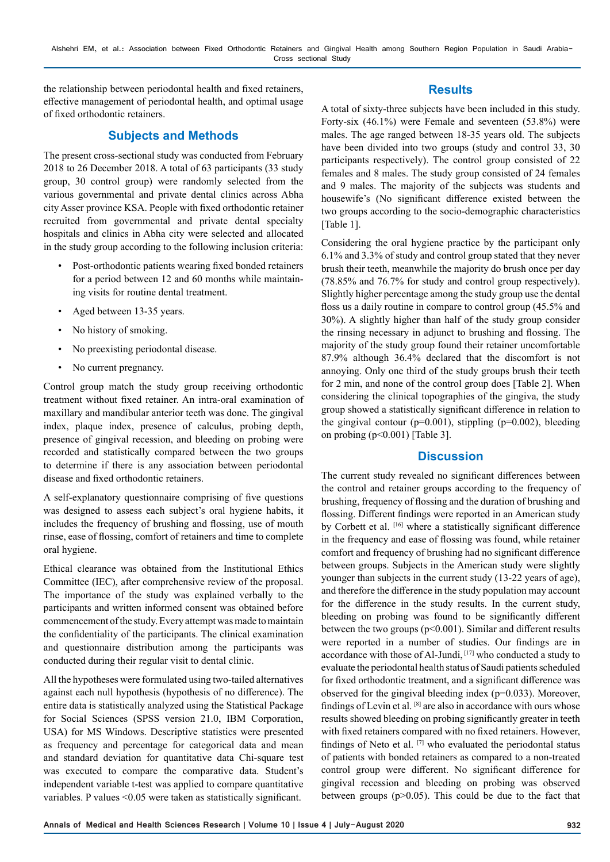the relationship between periodontal health and fixed retainers, effective management of periodontal health, and optimal usage of fixed orthodontic retainers.

## **Subjects and Methods**

The present cross-sectional study was conducted from February 2018 to 26 December 2018. A total of 63 participants (33 study group, 30 control group) were randomly selected from the various governmental and private dental clinics across Abha city Asser province KSA. People with fixed orthodontic retainer recruited from governmental and private dental specialty hospitals and clinics in Abha city were selected and allocated in the study group according to the following inclusion criteria:

- Post-orthodontic patients wearing fixed bonded retainers for a period between 12 and 60 months while maintaining visits for routine dental treatment.
- Aged between 13-35 years.
- No history of smoking.
- No preexisting periodontal disease.
- No current pregnancy.

Control group match the study group receiving orthodontic treatment without fixed retainer. An intra-oral examination of maxillary and mandibular anterior teeth was done. The gingival index, plaque index, presence of calculus, probing depth, presence of gingival recession, and bleeding on probing were recorded and statistically compared between the two groups to determine if there is any association between periodontal disease and fixed orthodontic retainers.

A self-explanatory questionnaire comprising of five questions was designed to assess each subject's oral hygiene habits, it includes the frequency of brushing and flossing, use of mouth rinse, ease of flossing, comfort of retainers and time to complete oral hygiene.

Ethical clearance was obtained from the Institutional Ethics Committee (IEC), after comprehensive review of the proposal. The importance of the study was explained verbally to the participants and written informed consent was obtained before commencement of the study. Every attempt was made to maintain the confidentiality of the participants. The clinical examination and questionnaire distribution among the participants was conducted during their regular visit to dental clinic.

All the hypotheses were formulated using two-tailed alternatives against each null hypothesis (hypothesis of no difference). The entire data is statistically analyzed using the Statistical Package for Social Sciences (SPSS version 21.0, IBM Corporation, USA) for MS Windows. Descriptive statistics were presented as frequency and percentage for categorical data and mean and standard deviation for quantitative data Chi-square test was executed to compare the comparative data. Student's independent variable t-test was applied to compare quantitative variables. P values <0.05 were taken as statistically significant.

## **Results**

A total of sixty-three subjects have been included in this study. Forty-six (46.1%) were Female and seventeen (53.8%) were males. The age ranged between 18-35 years old. The subjects have been divided into two groups (study and control 33, 30 participants respectively). The control group consisted of 22 females and 8 males. The study group consisted of 24 females and 9 males. The majority of the subjects was students and housewife's (No significant difference existed between the two groups according to the socio-demographic characteristics [Table 1].

Considering the oral hygiene practice by the participant only 6.1% and 3.3% of study and control group stated that they never brush their teeth, meanwhile the majority do brush once per day (78.85% and 76.7% for study and control group respectively). Slightly higher percentage among the study group use the dental floss us a daily routine in compare to control group (45.5% and 30%). A slightly higher than half of the study group consider the rinsing necessary in adjunct to brushing and flossing. The majority of the study group found their retainer uncomfortable 87.9% although 36.4% declared that the discomfort is not annoying. Only one third of the study groups brush their teeth for 2 min, and none of the control group does [Table 2]. When considering the clinical topographies of the gingiva, the study group showed a statistically significant difference in relation to the gingival contour ( $p=0.001$ ), stippling ( $p=0.002$ ), bleeding on probing  $(p<0.001)$  [Table 3].

#### **Discussion**

The current study revealed no significant differences between the control and retainer groups according to the frequency of brushing, frequency of flossing and the duration of brushing and flossing. Different findings were reported in an American study by Corbett et al. <a>[16]</a> where a statistically significant difference in the frequency and ease of flossing was found, while retainer comfort and frequency of brushing had no significant difference between groups. Subjects in the American study were slightly younger than subjects in the current study (13-22 years of age), and therefore the difference in the study population may account for the difference in the study results. In the current study, bleeding on probing was found to be significantly different between the two groups ( $p<0.001$ ). Similar and different results were reported in a number of studies. Our findings are in accordance with those of Al-Jundi, [17] who conducted a study to evaluate the periodontal health status of Saudi patients scheduled for fixed orthodontic treatment, and a significant difference was observed for the gingival bleeding index ( $p=0.033$ ). Moreover, findings of Levin et al. [8] are also in accordance with ours whose results showed bleeding on probing significantly greater in teeth with fixed retainers compared with no fixed retainers. However, findings of Neto et al. [7] who evaluated the periodontal status of patients with bonded retainers as compared to a non-treated control group were different. No significant difference for gingival recession and bleeding on probing was observed between groups (p>0.05). This could be due to the fact that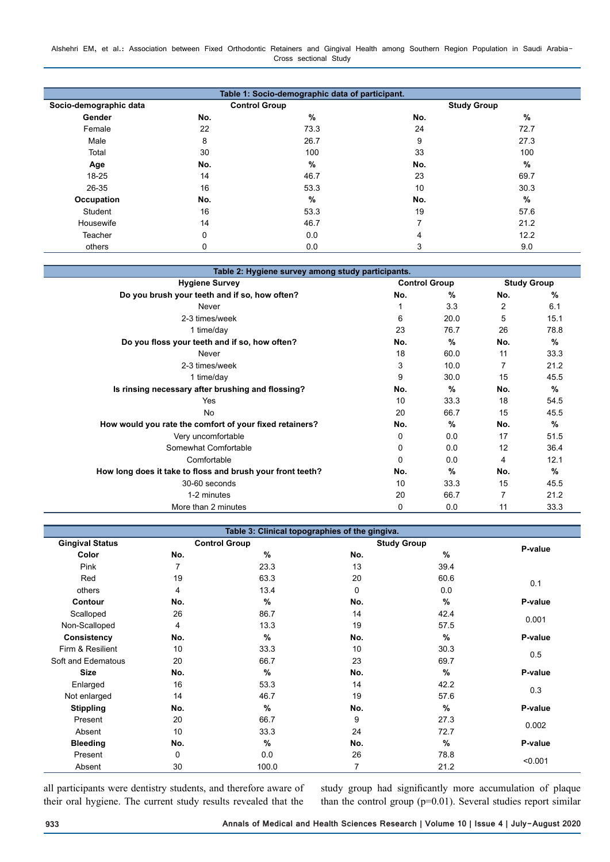Alshehri EM, et al.: Association between Fixed Orthodontic Retainers and Gingival Health among Southern Region Population in Saudi Arabia-Cross sectional Study

| Table 1: Socio-demographic data of participant. |                      |               |                          |      |  |  |  |  |
|-------------------------------------------------|----------------------|---------------|--------------------------|------|--|--|--|--|
| Socio-demographic data                          | <b>Control Group</b> |               | <b>Study Group</b>       |      |  |  |  |  |
| Gender                                          | No.                  | %             | No.                      | %    |  |  |  |  |
| Female                                          | 22                   | 73.3          | 24                       | 72.7 |  |  |  |  |
| Male                                            | 8                    | 26.7          | 9                        | 27.3 |  |  |  |  |
| Total                                           | 30                   | 100           | 33                       | 100  |  |  |  |  |
| Age                                             | No.                  | $\frac{9}{6}$ | No.                      | %    |  |  |  |  |
| 18-25                                           | 14                   | 46.7          | 23                       | 69.7 |  |  |  |  |
| 26-35                                           | 16                   | 53.3          | 10                       | 30.3 |  |  |  |  |
| <b>Occupation</b>                               | No.                  | %             | No.                      | %    |  |  |  |  |
| Student                                         | 16                   | 53.3          | 19                       | 57.6 |  |  |  |  |
| Housewife                                       | 14                   | 46.7          | $\overline{\phantom{a}}$ | 21.2 |  |  |  |  |
| Teacher                                         | 0                    | 0.0           | 4                        | 12.2 |  |  |  |  |
| others                                          | 0                    | 0.0           | 3                        | 9.0  |  |  |  |  |

| Table 2: Hygiene survey among study participants.          |                      |      |                    |      |  |  |  |
|------------------------------------------------------------|----------------------|------|--------------------|------|--|--|--|
| <b>Hygiene Survey</b>                                      | <b>Control Group</b> |      | <b>Study Group</b> |      |  |  |  |
| Do you brush your teeth and if so, how often?              | No.                  | $\%$ | No.                | $\%$ |  |  |  |
| Never                                                      |                      | 3.3  | 2                  | 6.1  |  |  |  |
| 2-3 times/week                                             | 6                    | 20.0 | 5                  | 15.1 |  |  |  |
| 1 time/day                                                 | 23                   | 76.7 | 26                 | 78.8 |  |  |  |
| Do you floss your teeth and if so, how often?              | No.                  | $\%$ | No.                | %    |  |  |  |
| Never                                                      | 18                   | 60.0 | 11                 | 33.3 |  |  |  |
| 2-3 times/week                                             | 3                    | 10.0 |                    | 21.2 |  |  |  |
| 1 time/day                                                 | 9                    | 30.0 | 15                 | 45.5 |  |  |  |
| Is rinsing necessary after brushing and flossing?          | No.                  | %    | No.                | %    |  |  |  |
| Yes                                                        | 10                   | 33.3 | 18                 | 54.5 |  |  |  |
| <b>No</b>                                                  | 20                   | 66.7 | 15                 | 45.5 |  |  |  |
| How would you rate the comfort of your fixed retainers?    | No.                  | $\%$ | No.                | %    |  |  |  |
| Very uncomfortable                                         | 0                    | 0.0  | 17                 | 51.5 |  |  |  |
| Somewhat Comfortable                                       | 0                    | 0.0  | 12                 | 36.4 |  |  |  |
| Comfortable                                                | $\Omega$             | 0.0  | 4                  | 12.1 |  |  |  |
| How long does it take to floss and brush your front teeth? | No.                  | $\%$ | No.                | %    |  |  |  |
| 30-60 seconds                                              | 10                   | 33.3 | 15                 | 45.5 |  |  |  |
| 1-2 minutes                                                | 20                   | 66.7 | 7                  | 21.2 |  |  |  |
| More than 2 minutes                                        | 0                    | 0.0  | 11                 | 33.3 |  |  |  |

| Table 3: Clinical topographies of the gingiva. |             |                      |     |                    |         |  |  |  |
|------------------------------------------------|-------------|----------------------|-----|--------------------|---------|--|--|--|
| <b>Gingival Status</b>                         |             | <b>Control Group</b> |     | <b>Study Group</b> |         |  |  |  |
| Color                                          | No.         | $\%$                 | No. | $\%$               | P-value |  |  |  |
| Pink                                           | 7           | 23.3                 | 13  | 39.4               |         |  |  |  |
| Red                                            | 19          | 63.3                 | 20  | 60.6               | 0.1     |  |  |  |
| others                                         | 4           | 13.4                 | 0   | 0.0                |         |  |  |  |
| Contour                                        | No.         | %                    | No. | $\%$               | P-value |  |  |  |
| Scalloped                                      | 26          | 86.7                 | 14  | 42.4               | 0.001   |  |  |  |
| Non-Scalloped                                  | 4           | 13.3                 | 19  | 57.5               |         |  |  |  |
| Consistency                                    | No.         | $\%$                 | No. | $\%$               | P-value |  |  |  |
| Firm & Resilient                               | 10          | 33.3                 | 10  | 30.3               | 0.5     |  |  |  |
| Soft and Edematous                             | 20          | 66.7                 | 23  | 69.7               |         |  |  |  |
| <b>Size</b>                                    | No.         | $\%$                 | No. | $\%$               | P-value |  |  |  |
| Enlarged                                       | 16          | 53.3                 | 14  | 42.2               | 0.3     |  |  |  |
| Not enlarged                                   | 14          | 46.7                 | 19  | 57.6               |         |  |  |  |
| <b>Stippling</b>                               | No.         | %                    | No. | %                  | P-value |  |  |  |
| Present                                        | 20          | 66.7                 | 9   | 27.3               | 0.002   |  |  |  |
| Absent                                         | 10          | 33.3                 | 24  | 72.7               |         |  |  |  |
| <b>Bleeding</b>                                | No.         | $\frac{9}{6}$        | No. | $\%$               | P-value |  |  |  |
| Present                                        | $\mathbf 0$ | 0.0                  | 26  | 78.8               | < 0.001 |  |  |  |
| Absent                                         | 30          | 100.0                | 7   | 21.2               |         |  |  |  |

all participants were dentistry students, and therefore aware of their oral hygiene. The current study results revealed that the study group had significantly more accumulation of plaque than the control group (p=0.01). Several studies report similar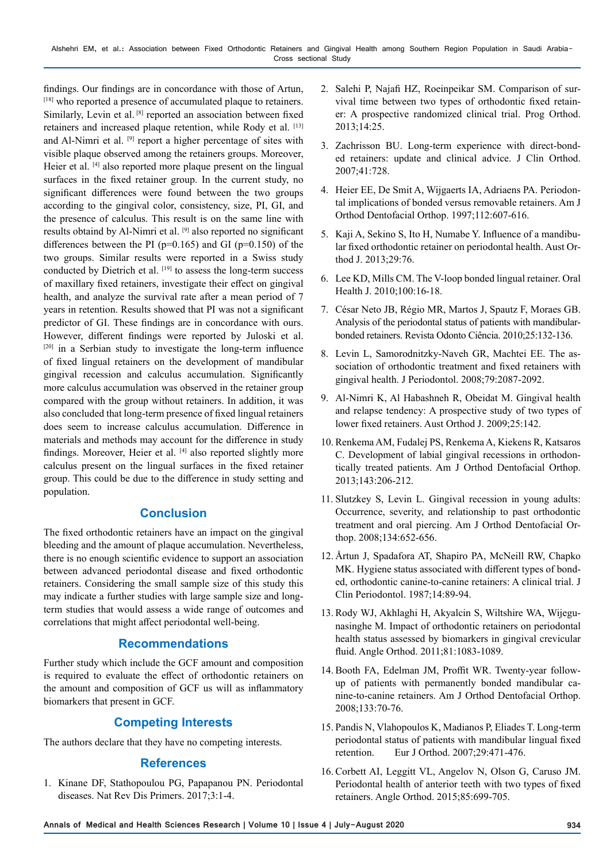findings. Our findings are in concordance with those of Artun, [18] who reported a presence of accumulated plaque to retainers. Similarly, Levin et al. [8] reported an association between fixed retainers and increased plaque retention, while Rody et al. [13] and Al-Nimri et al. <sup>[9]</sup> report a higher percentage of sites with visible plaque observed among the retainers groups. Moreover, Heier et al. [4] also reported more plaque present on the lingual surfaces in the fixed retainer group. In the current study, no significant differences were found between the two groups according to the gingival color, consistency, size, PI, GI, and the presence of calculus. This result is on the same line with results obtaind by Al-Nimri et al. [9] also reported no significant differences between the PI ( $p=0.165$ ) and GI ( $p=0.150$ ) of the two groups. Similar results were reported in a Swiss study conducted by Dietrich et al. [19] to assess the long-term success of maxillary fixed retainers, investigate their effect on gingival health, and analyze the survival rate after a mean period of 7 years in retention. Results showed that PI was not a significant predictor of GI. These findings are in concordance with ours. However, different findings were reported by Juloski et al. [20] in a Serbian study to investigate the long-term influence of fixed lingual retainers on the development of mandibular gingival recession and calculus accumulation. Significantly more calculus accumulation was observed in the retainer group compared with the group without retainers. In addition, it was also concluded that long-term presence of fixed lingual retainers does seem to increase calculus accumulation. Difference in materials and methods may account for the difference in study findings. Moreover, Heier et al. [4] also reported slightly more calculus present on the lingual surfaces in the fixed retainer group. This could be due to the difference in study setting and population.

## **Conclusion**

The fixed orthodontic retainers have an impact on the gingival bleeding and the amount of plaque accumulation. Nevertheless, there is no enough scientific evidence to support an association between advanced periodontal disease and fixed orthodontic retainers. Considering the small sample size of this study this may indicate a further studies with large sample size and longterm studies that would assess a wide range of outcomes and correlations that might affect periodontal well-being.

## **Recommendations**

Further study which include the GCF amount and composition is required to evaluate the effect of orthodontic retainers on the amount and composition of GCF us will as inflammatory biomarkers that present in GCF.

## **Competing Interests**

The authors declare that they have no competing interests.

#### **References**

1. Kinane DF, Stathopoulou PG, Papapanou PN. Periodontal diseases. Nat Rev Dis Primers. 2017;3:1-4.

- 2. Salehi P, Najafi HZ, Roeinpeikar SM. Comparison of survival time between two types of orthodontic fixed retainer: A prospective randomized clinical trial. Prog Orthod. 2013;14:25.
- 3. Zachrisson BU. Long-term experience with direct-bonded retainers: update and clinical advice. J Clin Orthod. 2007;41:728.
- 4. Heier EE, De Smit A, Wijgaerts IA, Adriaens PA. Periodontal implications of bonded versus removable retainers. Am J Orthod Dentofacial Orthop. 1997;112:607-616.
- 5. Kaji A, Sekino S, Ito H, Numabe Y. Influence of a mandibular fixed orthodontic retainer on periodontal health. Aust Orthod J. 2013;29:76.
- 6. Lee KD, Mills CM. The V-loop bonded lingual retainer. Oral Health J. 2010;100:16-18.
- 7. César Neto JB, Régio MR, Martos J, Spautz F, Moraes GB. Analysis of the periodontal status of patients with mandibularbonded retainers. Revista Odonto Ciência. 2010;25:132-136.
- 8. Levin L, Samorodnitzky-Naveh GR, Machtei EE. The association of orthodontic treatment and fixed retainers with gingival health. J Periodontol. 2008;79:2087-2092.
- 9. Al-Nimri K, Al Habashneh R, Obeidat M. Gingival health and relapse tendency: A prospective study of two types of lower fixed retainers. Aust Orthod J. 2009;25:142.
- 10. Renkema AM, Fudalej PS, Renkema A, Kiekens R, Katsaros C. Development of labial gingival recessions in orthodontically treated patients. Am J Orthod Dentofacial Orthop. 2013;143:206-212.
- 11. Slutzkey S, Levin L. Gingival recession in young adults: Occurrence, severity, and relationship to past orthodontic treatment and oral piercing. Am J Orthod Dentofacial Orthop. 2008;134:652-656.
- 12. Årtun J, Spadafora AT, Shapiro PA, McNeill RW, Chapko MK. Hygiene status associated with different types of bonded, orthodontic canine-to-canine retainers: A clinical trial. J Clin Periodontol. 1987;14:89-94.
- 13. Rody WJ, Akhlaghi H, Akyalcin S, Wiltshire WA, Wijegunasinghe M. Impact of orthodontic retainers on periodontal health status assessed by biomarkers in gingival crevicular fluid. Angle Orthod. 2011;81:1083-1089.
- 14. Booth FA, Edelman JM, Proffit WR. Twenty-year followup of patients with permanently bonded mandibular canine-to-canine retainers. Am J Orthod Dentofacial Orthop. 2008;133:70-76.
- 15. Pandis N, Vlahopoulos K, Madianos P, Eliades T. Long-term periodontal status of patients with mandibular lingual fixed retention. Eur J Orthod. 2007;29:471-476.
- 16. Corbett AI, Leggitt VL, Angelov N, Olson G, Caruso JM. Periodontal health of anterior teeth with two types of fixed retainers. Angle Orthod. 2015;85:699-705.